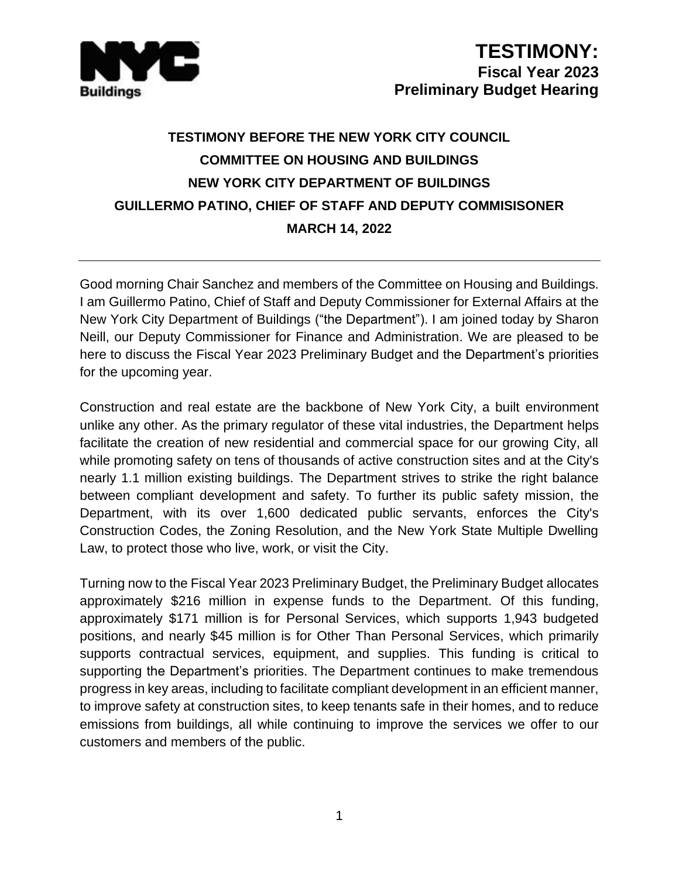

## **TESTIMONY BEFORE THE NEW YORK CITY COUNCIL COMMITTEE ON HOUSING AND BUILDINGS NEW YORK CITY DEPARTMENT OF BUILDINGS GUILLERMO PATINO, CHIEF OF STAFF AND DEPUTY COMMISISONER MARCH 14, 2022**

Good morning Chair Sanchez and members of the Committee on Housing and Buildings. I am Guillermo Patino, Chief of Staff and Deputy Commissioner for External Affairs at the New York City Department of Buildings ("the Department"). I am joined today by Sharon Neill, our Deputy Commissioner for Finance and Administration. We are pleased to be here to discuss the Fiscal Year 2023 Preliminary Budget and the Department's priorities for the upcoming year.

Construction and real estate are the backbone of New York City, a built environment unlike any other. As the primary regulator of these vital industries, the Department helps facilitate the creation of new residential and commercial space for our growing City, all while promoting safety on tens of thousands of active construction sites and at the City's nearly 1.1 million existing buildings. The Department strives to strike the right balance between compliant development and safety. To further its public safety mission, the Department, with its over 1,600 dedicated public servants, enforces the City's Construction Codes, the Zoning Resolution, and the New York State Multiple Dwelling Law, to protect those who live, work, or visit the City.

Turning now to the Fiscal Year 2023 Preliminary Budget, the Preliminary Budget allocates approximately \$216 million in expense funds to the Department. Of this funding, approximately \$171 million is for Personal Services, which supports 1,943 budgeted positions, and nearly \$45 million is for Other Than Personal Services, which primarily supports contractual services, equipment, and supplies. This funding is critical to supporting the Department's priorities. The Department continues to make tremendous progress in key areas, including to facilitate compliant development in an efficient manner, to improve safety at construction sites, to keep tenants safe in their homes, and to reduce emissions from buildings, all while continuing to improve the services we offer to our customers and members of the public.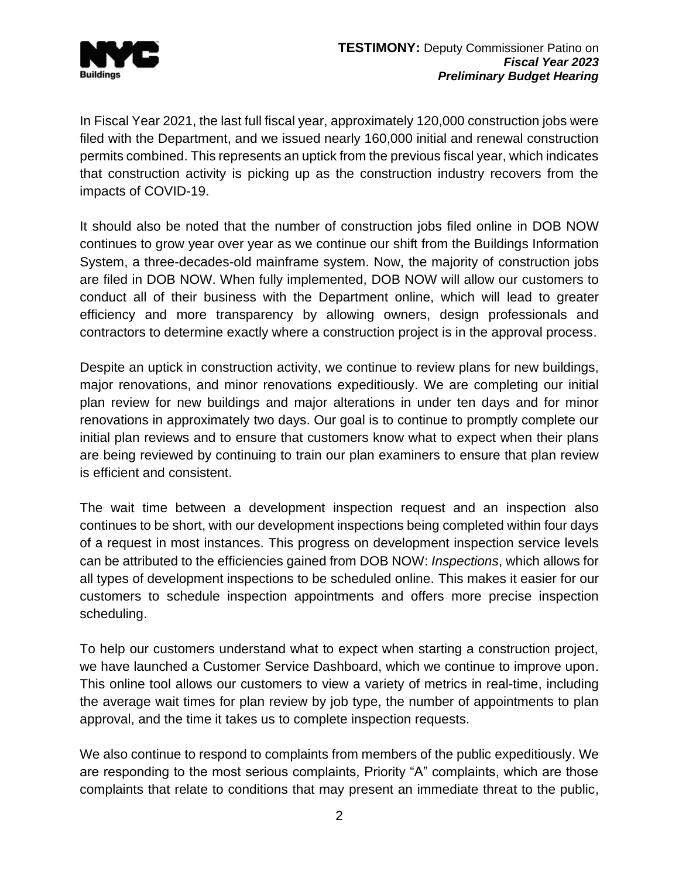

In Fiscal Year 2021, the last full fiscal year, approximately 120,000 construction jobs were filed with the Department, and we issued nearly 160,000 initial and renewal construction permits combined. This represents an uptick from the previous fiscal year, which indicates that construction activity is picking up as the construction industry recovers from the impacts of COVID-19.

It should also be noted that the number of construction jobs filed online in DOB NOW continues to grow year over year as we continue our shift from the Buildings Information System, a three-decades-old mainframe system. Now, the majority of construction jobs are filed in DOB NOW. When fully implemented, DOB NOW will allow our customers to conduct all of their business with the Department online, which will lead to greater efficiency and more transparency by allowing owners, design professionals and contractors to determine exactly where a construction project is in the approval process.

Despite an uptick in construction activity, we continue to review plans for new buildings, major renovations, and minor renovations expeditiously. We are completing our initial plan review for new buildings and major alterations in under ten days and for minor renovations in approximately two days. Our goal is to continue to promptly complete our initial plan reviews and to ensure that customers know what to expect when their plans are being reviewed by continuing to train our plan examiners to ensure that plan review is efficient and consistent.

The wait time between a development inspection request and an inspection also continues to be short, with our development inspections being completed within four days of a request in most instances. This progress on development inspection service levels can be attributed to the efficiencies gained from DOB NOW: *Inspections*, which allows for all types of development inspections to be scheduled online. This makes it easier for our customers to schedule inspection appointments and offers more precise inspection scheduling.

To help our customers understand what to expect when starting a construction project, we have launched a Customer Service Dashboard, which we continue to improve upon. This online tool allows our customers to view a variety of metrics in real-time, including the average wait times for plan review by job type, the number of appointments to plan approval, and the time it takes us to complete inspection requests.

We also continue to respond to complaints from members of the public expeditiously. We are responding to the most serious complaints, Priority "A" complaints, which are those complaints that relate to conditions that may present an immediate threat to the public,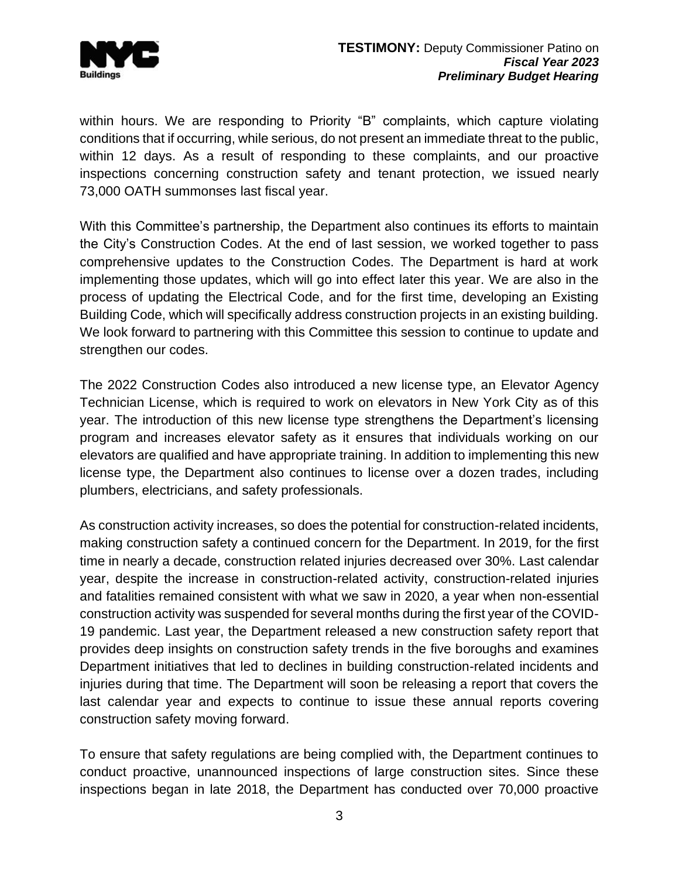

within hours. We are responding to Priority "B" complaints, which capture violating conditions that if occurring, while serious, do not present an immediate threat to the public, within 12 days. As a result of responding to these complaints, and our proactive inspections concerning construction safety and tenant protection, we issued nearly 73,000 OATH summonses last fiscal year.

With this Committee's partnership, the Department also continues its efforts to maintain the City's Construction Codes. At the end of last session, we worked together to pass comprehensive updates to the Construction Codes. The Department is hard at work implementing those updates, which will go into effect later this year. We are also in the process of updating the Electrical Code, and for the first time, developing an Existing Building Code, which will specifically address construction projects in an existing building. We look forward to partnering with this Committee this session to continue to update and strengthen our codes.

The 2022 Construction Codes also introduced a new license type, an Elevator Agency Technician License, which is required to work on elevators in New York City as of this year. The introduction of this new license type strengthens the Department's licensing program and increases elevator safety as it ensures that individuals working on our elevators are qualified and have appropriate training. In addition to implementing this new license type, the Department also continues to license over a dozen trades, including plumbers, electricians, and safety professionals.

As construction activity increases, so does the potential for construction-related incidents, making construction safety a continued concern for the Department. In 2019, for the first time in nearly a decade, construction related injuries decreased over 30%. Last calendar year, despite the increase in construction-related activity, construction-related injuries and fatalities remained consistent with what we saw in 2020, a year when non-essential construction activity was suspended for several months during the first year of the COVID-19 pandemic. Last year, the Department released a new construction safety report that provides deep insights on construction safety trends in the five boroughs and examines Department initiatives that led to declines in building construction-related incidents and injuries during that time. The Department will soon be releasing a report that covers the last calendar year and expects to continue to issue these annual reports covering construction safety moving forward.

To ensure that safety regulations are being complied with, the Department continues to conduct proactive, unannounced inspections of large construction sites. Since these inspections began in late 2018, the Department has conducted over 70,000 proactive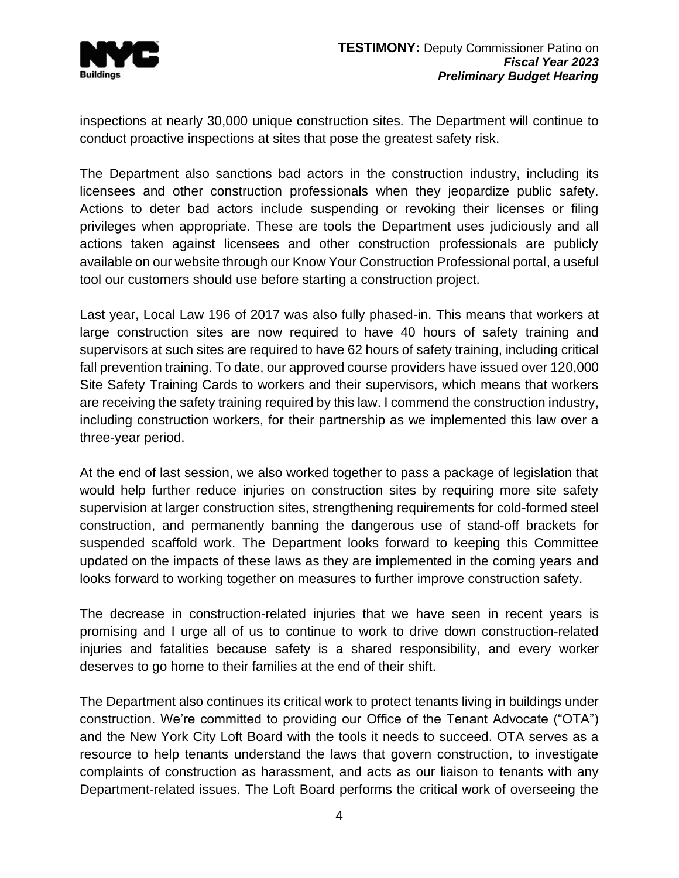

inspections at nearly 30,000 unique construction sites. The Department will continue to conduct proactive inspections at sites that pose the greatest safety risk.

The Department also sanctions bad actors in the construction industry, including its licensees and other construction professionals when they jeopardize public safety. Actions to deter bad actors include suspending or revoking their licenses or filing privileges when appropriate. These are tools the Department uses judiciously and all actions taken against licensees and other construction professionals are publicly available on our website through our Know Your Construction Professional portal, a useful tool our customers should use before starting a construction project.

Last year, Local Law 196 of 2017 was also fully phased-in. This means that workers at large construction sites are now required to have 40 hours of safety training and supervisors at such sites are required to have 62 hours of safety training, including critical fall prevention training. To date, our approved course providers have issued over 120,000 Site Safety Training Cards to workers and their supervisors, which means that workers are receiving the safety training required by this law. I commend the construction industry, including construction workers, for their partnership as we implemented this law over a three-year period.

At the end of last session, we also worked together to pass a package of legislation that would help further reduce injuries on construction sites by requiring more site safety supervision at larger construction sites, strengthening requirements for cold-formed steel construction, and permanently banning the dangerous use of stand-off brackets for suspended scaffold work. The Department looks forward to keeping this Committee updated on the impacts of these laws as they are implemented in the coming years and looks forward to working together on measures to further improve construction safety.

The decrease in construction-related injuries that we have seen in recent years is promising and I urge all of us to continue to work to drive down construction-related injuries and fatalities because safety is a shared responsibility, and every worker deserves to go home to their families at the end of their shift.

The Department also continues its critical work to protect tenants living in buildings under construction. We're committed to providing our Office of the Tenant Advocate ("OTA") and the New York City Loft Board with the tools it needs to succeed. OTA serves as a resource to help tenants understand the laws that govern construction, to investigate complaints of construction as harassment, and acts as our liaison to tenants with any Department-related issues. The Loft Board performs the critical work of overseeing the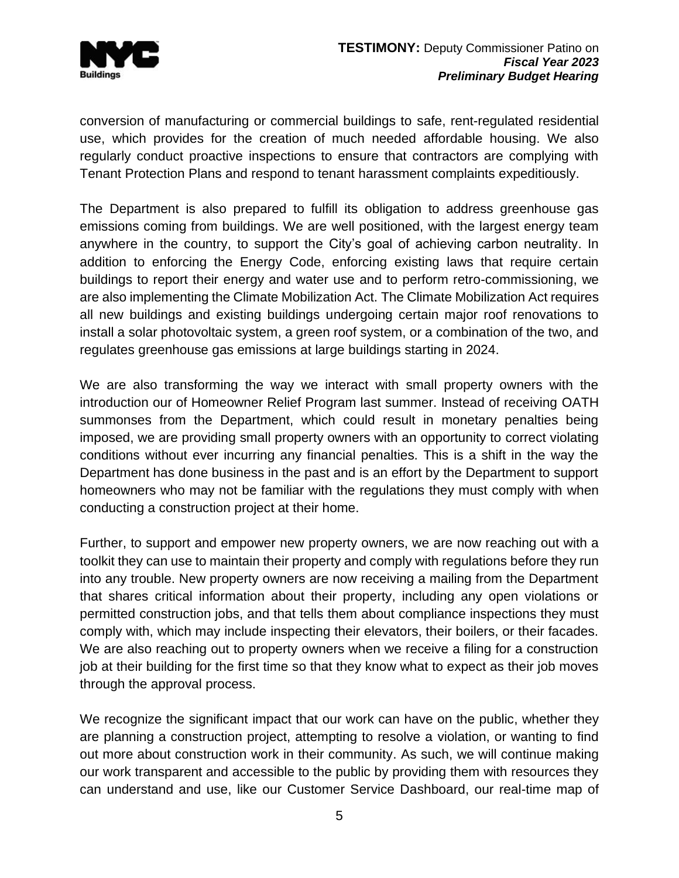

conversion of manufacturing or commercial buildings to safe, rent-regulated residential use, which provides for the creation of much needed affordable housing. We also regularly conduct proactive inspections to ensure that contractors are complying with Tenant Protection Plans and respond to tenant harassment complaints expeditiously.

The Department is also prepared to fulfill its obligation to address greenhouse gas emissions coming from buildings. We are well positioned, with the largest energy team anywhere in the country, to support the City's goal of achieving carbon neutrality. In addition to enforcing the Energy Code, enforcing existing laws that require certain buildings to report their energy and water use and to perform retro-commissioning, we are also implementing the Climate Mobilization Act. The Climate Mobilization Act requires all new buildings and existing buildings undergoing certain major roof renovations to install a solar photovoltaic system, a green roof system, or a combination of the two, and regulates greenhouse gas emissions at large buildings starting in 2024.

We are also transforming the way we interact with small property owners with the introduction our of Homeowner Relief Program last summer. Instead of receiving OATH summonses from the Department, which could result in monetary penalties being imposed, we are providing small property owners with an opportunity to correct violating conditions without ever incurring any financial penalties. This is a shift in the way the Department has done business in the past and is an effort by the Department to support homeowners who may not be familiar with the regulations they must comply with when conducting a construction project at their home.

Further, to support and empower new property owners, we are now reaching out with a toolkit they can use to maintain their property and comply with regulations before they run into any trouble. New property owners are now receiving a mailing from the Department that shares critical information about their property, including any open violations or permitted construction jobs, and that tells them about compliance inspections they must comply with, which may include inspecting their elevators, their boilers, or their facades. We are also reaching out to property owners when we receive a filing for a construction job at their building for the first time so that they know what to expect as their job moves through the approval process.

We recognize the significant impact that our work can have on the public, whether they are planning a construction project, attempting to resolve a violation, or wanting to find out more about construction work in their community. As such, we will continue making our work transparent and accessible to the public by providing them with resources they can understand and use, like our Customer Service Dashboard, our real-time map of